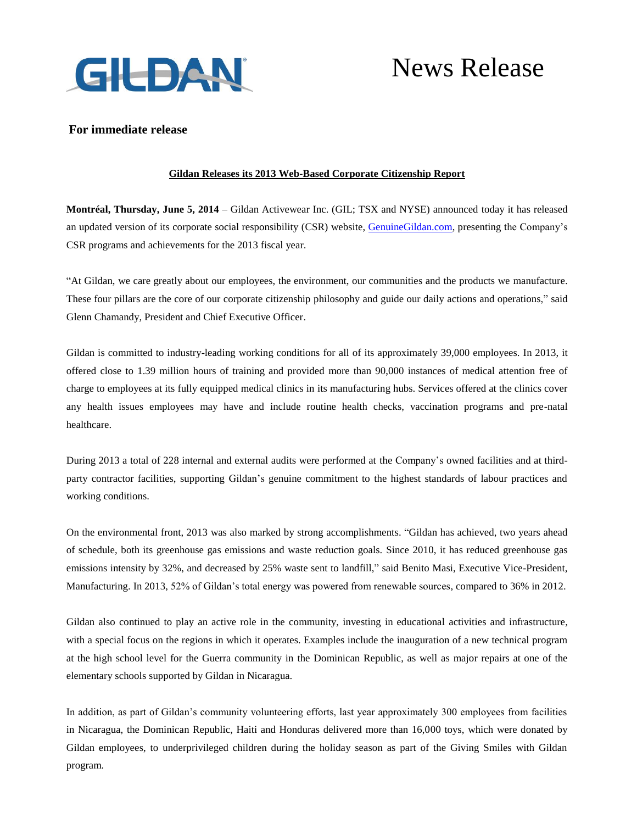

# News Release

## **For immediate release**

## **Gildan Releases its 2013 Web-Based Corporate Citizenship Report**

**Montréal, Thursday, June 5, 2014** – Gildan Activewear Inc. (GIL; TSX and NYSE) announced today it has released an updated version of its corporate social responsibility (CSR) website, [GenuineGildan.com,](http://www.genuinegildan.com/) presenting the Company's CSR programs and achievements for the 2013 fiscal year.

"At Gildan, we care greatly about our employees, the environment, our communities and the products we manufacture. These four pillars are the core of our corporate citizenship philosophy and guide our daily actions and operations," said Glenn Chamandy, President and Chief Executive Officer.

Gildan is committed to industry-leading working conditions for all of its approximately 39,000 employees. In 2013, it offered close to 1.39 million hours of training and provided more than 90,000 instances of medical attention free of charge to employees at its fully equipped medical clinics in its manufacturing hubs. Services offered at the clinics cover any health issues employees may have and include routine health checks, vaccination programs and pre-natal healthcare.

During 2013 a total of 228 internal and external audits were performed at the Company's owned facilities and at thirdparty contractor facilities, supporting Gildan's genuine commitment to the highest standards of labour practices and working conditions.

On the environmental front, 2013 was also marked by strong accomplishments. "Gildan has achieved, two years ahead of schedule, both its greenhouse gas emissions and waste reduction goals. Since 2010, it has reduced greenhouse gas emissions intensity by 32%, and decreased by 25% waste sent to landfill," said Benito Masi, Executive Vice-President, Manufacturing. In 2013, 52% of Gildan's total energy was powered from renewable sources, compared to 36% in 2012.

Gildan also continued to play an active role in the community, investing in educational activities and infrastructure, with a special focus on the regions in which it operates. Examples include the inauguration of a new technical program at the high school level for the Guerra community in the Dominican Republic, as well as major repairs at one of the elementary schools supported by Gildan in Nicaragua.

In addition, as part of Gildan's community volunteering efforts, last year approximately 300 employees from facilities in Nicaragua, the Dominican Republic, Haiti and Honduras delivered more than 16,000 toys, which were donated by Gildan employees, to underprivileged children during the holiday season as part of the Giving Smiles with Gildan program.